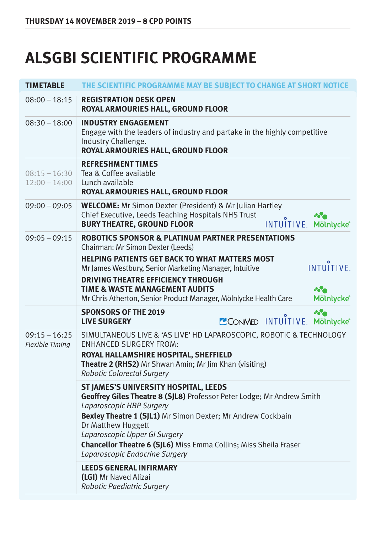# **ALSGBI SCIENTIFIC PROGRAMME**

| <b>TIMETABLE</b>                          | THE SCIENTIFIC PROGRAMME MAY BE SUBJECT TO CHANGE AT SHORT NOTICE                                                                                                                                                                                                                                                                                                                                                                                                        |
|-------------------------------------------|--------------------------------------------------------------------------------------------------------------------------------------------------------------------------------------------------------------------------------------------------------------------------------------------------------------------------------------------------------------------------------------------------------------------------------------------------------------------------|
| $08:00 - 18:15$                           | <b>REGISTRATION DESK OPEN</b><br>ROYAL ARMOURIES HALL, GROUND FLOOR                                                                                                                                                                                                                                                                                                                                                                                                      |
| $08:30 - 18:00$                           | <b>INDUSTRY ENGAGEMENT</b><br>Engage with the leaders of industry and partake in the highly competitive<br>Industry Challenge.<br>ROYAL ARMOURIES HALL, GROUND FLOOR                                                                                                                                                                                                                                                                                                     |
| $08:15 - 16:30$<br>$12:00 - 14:00$        | <b>REFRESHMENT TIMES</b><br>Tea & Coffee available<br>Lunch available<br>ROYAL ARMOURIES HALL, GROUND FLOOR                                                                                                                                                                                                                                                                                                                                                              |
| $09:00 - 09:05$                           | <b>WELCOME:</b> Mr Simon Dexter (President) & Mr Julian Hartley<br>Chief Executive, Leeds Teaching Hospitals NHS Trust<br><b>BURY THEATRE, GROUND FLOOR</b><br>INTUITIVE. Mölnlycke®                                                                                                                                                                                                                                                                                     |
| $09:05 - 09:15$                           | <b>ROBOTICS SPONSOR &amp; PLATINUM PARTNER PRESENTATIONS</b><br>Chairman: Mr Simon Dexter (Leeds)<br><b>HELPING PATIENTS GET BACK TO WHAT MATTERS MOST</b><br>INTUITIVE.<br>Mr James Westbury, Senior Marketing Manager, Intuitive<br><b>DRIVING THEATRE EFFICIENCY THROUGH</b><br><b>TIME &amp; WASTE MANAGEMENT AUDITS</b><br>$\sim$ $\sim$<br>Mr Chris Atherton, Senior Product Manager, Mölnlycke Health Care<br>Mölnlycke®                                          |
|                                           | <b>SPONSORS OF THE 2019</b><br>$\cdot$<br>CONMED INTUITIVE. Mölnlycke <sup>®</sup><br><b>LIVE SURGERY</b>                                                                                                                                                                                                                                                                                                                                                                |
| $09:15 - 16:25$<br><b>Flexible Timing</b> | SIMULTANEOUS LIVE & 'AS LIVE' HD LAPAROSCOPIC, ROBOTIC & TECHNOLOGY<br><b>ENHANCED SURGERY FROM:</b><br>ROYAL HALLAMSHIRE HOSPITAL, SHEFFIELD<br>Theatre 2 (RHS2) Mr Shwan Amin; Mr Jim Khan (visiting)<br>Robotic Colorectal Surgery                                                                                                                                                                                                                                    |
|                                           | ST JAMES'S UNIVERSITY HOSPITAL, LEEDS<br>Geoffrey Giles Theatre 8 (SJL8) Professor Peter Lodge; Mr Andrew Smith<br>Laparoscopic HBP Surgery<br>Bexley Theatre 1 (SJL1) Mr Simon Dexter; Mr Andrew Cockbain<br>Dr Matthew Huggett<br>Laparoscopic Upper GI Surgery<br><b>Chancellor Theatre 6 (SJL6)</b> Miss Emma Collins; Miss Sheila Fraser<br>Laparoscopic Endocrine Surgery<br><b>LEEDS GENERAL INFIRMARY</b><br>(LGI) Mr Naved Alizai<br>Robotic Paediatric Surgery |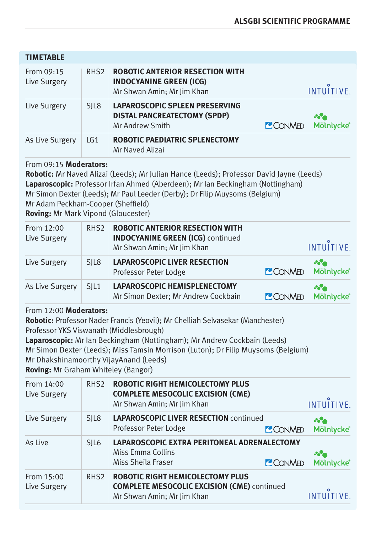| <b>TIMETABLE</b>           |                  |                                                                                                        |         |                   |
|----------------------------|------------------|--------------------------------------------------------------------------------------------------------|---------|-------------------|
| From 09:15<br>Live Surgery | RHS <sub>2</sub> | <b>ROBOTIC ANTERIOR RESECTION WITH</b><br><b>INDOCYANINE GREEN (ICG)</b><br>Mr Shwan Amin; Mr Jim Khan |         | <b>INTUITIVE.</b> |
| Live Surgery               | SIL <sub>8</sub> | <b>LAPAROSCOPIC SPLEEN PRESERVING</b><br><b>DISTAL PANCREATECTOMY (SPDP)</b><br>Mr Andrew Smith        | CCONMED | Mölnlycke®        |
| As Live Surgery            | LG <sub>1</sub>  | ROBOTIC PAEDIATRIC SPLENECTOMY<br>Mr Naved Alizai                                                      |         |                   |

#### From 09:15 **Moderators:**

**Robotic:** Mr Naved Alizai (Leeds); Mr Julian Hance (Leeds); Professor David Jayne (Leeds) **Laparoscopic:** Professor Irfan Ahmed (Aberdeen); Mr Ian Beckingham (Nottingham) Mr Simon Dexter (Leeds); Mr Paul Leeder (Derby); Dr Filip Muysoms (Belgium) Mr Adam Peckham-Cooper (Sheffield) **Roving:** Mr Mark Vipond (Gloucester)

| From 12:00<br>Live Surgery | RHS <sub>2</sub> | <b>ROBOTIC ANTERIOR RESECTION WITH</b><br><b>INDOCYANINE GREEN (ICG)</b> continued<br>Mr Shwan Amin; Mr Jim Khan |                    | <b>INTUITIVE.</b> |
|----------------------------|------------------|------------------------------------------------------------------------------------------------------------------|--------------------|-------------------|
| Live Surgery               | SIL <sub>8</sub> | <b>LAPAROSCOPIC LIVER RESECTION</b><br>Professor Peter Lodge                                                     | CCONMED Mölnlycke® | $\sim$            |
| As Live Surgery            | SIL <sub>1</sub> | <b>LAPAROSCOPIC HEMISPLENECTOMY</b><br>Mr Simon Dexter; Mr Andrew Cockbain                                       | CCONMED Mölnlycke® | $\sim$            |

### From 12:00 **Moderators:**

**Robotic:** Professor Nader Francis (Yeovil); Mr Chelliah Selvasekar (Manchester) Professor YKS Viswanath (Middlesbrough)

**Laparoscopic:** Mr Ian Beckingham (Nottingham); Mr Andrew Cockbain (Leeds) Mr Simon Dexter (Leeds); Miss Tamsin Morrison (Luton); Dr Filip Muysoms (Belgium) Mr Dhakshinamoorthy VijayAnand (Leeds)

**Roving:** Mr Graham Whiteley (Bangor)

| From 14:00<br>Live Surgery | RHS <sub>2</sub> | <b>ROBOTIC RIGHT HEMICOLECTOMY PLUS</b><br><b>COMPLETE MESOCOLIC EXCISION (CME)</b><br>Mr Shwan Amin; Mr Jim Khan           | $\circ$<br>INTUITIVE.          |
|----------------------------|------------------|-----------------------------------------------------------------------------------------------------------------------------|--------------------------------|
| Live Surgery               | SIL <sub>8</sub> | <b>LAPAROSCOPIC LIVER RESECTION continued</b><br>Professor Peter Lodge<br>CCONMED                                           | $\sim$ $\bullet$<br>Mölnlycke® |
| As Live                    | SIL <sub>6</sub> | LAPAROSCOPIC EXTRA PERITONEAL ADRENALECTOMY<br><b>Miss Emma Collins</b><br>Miss Sheila Fraser<br>CONMED                     | -64<br>Mölnlycke®              |
| From 15:00<br>Live Surgery | RHS <sub>2</sub> | <b>ROBOTIC RIGHT HEMICOLECTOMY PLUS</b><br><b>COMPLETE MESOCOLIC EXCISION (CME)</b> continued<br>Mr Shwan Amin; Mr Jim Khan | $\circ$<br><b>INTUITIVE.</b>   |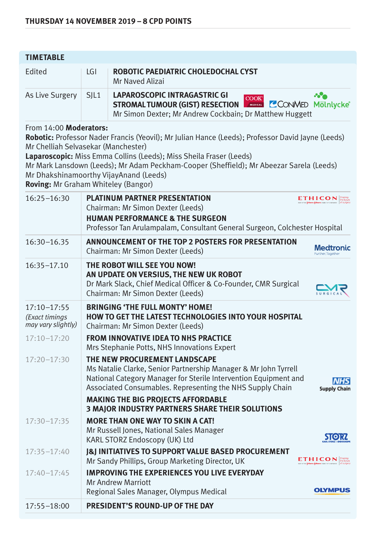| <b>TIMETABLE</b>                                                                                            |                  |                                                                                                                                                                                                                                                                                                                      |                                   |
|-------------------------------------------------------------------------------------------------------------|------------------|----------------------------------------------------------------------------------------------------------------------------------------------------------------------------------------------------------------------------------------------------------------------------------------------------------------------|-----------------------------------|
| Edited                                                                                                      | LGI              | ROBOTIC PAEDIATRIC CHOLEDOCHAL CYST<br>Mr Naved Alizai                                                                                                                                                                                                                                                               |                                   |
| As Live Surgery                                                                                             | SJL <sub>1</sub> | <b>LAPAROSCOPIC INTRAGASTRIC GI</b><br><b>COOK</b><br><b>STROMALTUMOUR (GIST) RESECTION</b><br><b>MEDERIC CONVED Mölnlycke</b> ®<br>Mr Simon Dexter; Mr Andrew Cockbain; Dr Matthew Huggett                                                                                                                          | aa a                              |
| From 14:00 Moderators:<br>Mr Chelliah Selvasekar (Manchester)<br><b>Roving:</b> Mr Graham Whiteley (Bangor) |                  | Robotic: Professor Nader Francis (Yeovil); Mr Julian Hance (Leeds); Professor David Jayne (Leeds)<br><b>Laparoscopic:</b> Miss Emma Collins (Leeds); Miss Sheila Fraser (Leeds)<br>Mr Mark Lansdown (Leeds); Mr Adam Peckham-Cooper (Sheffield); Mr Abeezar Sarela (Leeds)<br>Mr Dhakshinamoorthy VijayAnand (Leeds) |                                   |
| $16:25 - 16:30$                                                                                             |                  | <b>PLATINUM PARTNER PRESENTATION</b><br>Chairman: Mr Simon Dexter (Leeds)<br><b>HUMAN PERFORMANCE &amp; THE SURGEON</b><br>Professor Tan Arulampalam, Consultant General Surgeon, Colchester Hospital                                                                                                                | ETHICON NEW                       |
| 16:30-16.35                                                                                                 |                  | ANNOUNCEMENT OF THE TOP 2 POSTERS FOR PRESENTATION<br>Chairman: Mr Simon Dexter (Leeds)                                                                                                                                                                                                                              | Medtronic<br>irther.Togethe       |
| $16:35 - 17.10$                                                                                             |                  | THE ROBOT WILL SEE YOU NOW!<br>AN UPDATE ON VERSIUS, THE NEW UK ROBOT<br>Dr Mark Slack, Chief Medical Officer & Co-Founder, CMR Surgical<br>Chairman: Mr Simon Dexter (Leeds)                                                                                                                                        |                                   |
| $17:10 - 17:55$<br>(Exact timings<br>may vary slightly)                                                     |                  | <b>BRINGING 'THE FULL MONTY' HOME!</b><br><b>HOW TO GET THE LATEST TECHNOLOGIES INTO YOUR HOSPITAL</b><br>Chairman: Mr Simon Dexter (Leeds)                                                                                                                                                                          |                                   |
| $17:10 - 17:20$                                                                                             |                  | <b>FROM INNOVATIVE IDEA TO NHS PRACTICE</b><br>Mrs Stephanie Potts, NHS Innovations Expert                                                                                                                                                                                                                           |                                   |
| $17:20 - 17:30$                                                                                             |                  | THE NEW PROCUREMENT LANDSCAPE<br>Ms Natalie Clarke, Senior Partnership Manager & Mr John Tyrrell<br>National Category Manager for Sterile Intervention Equipment and<br>Associated Consumables. Representing the NHS Supply Chain                                                                                    | <i>NHS</i><br><b>Supply Chain</b> |
|                                                                                                             |                  | <b>MAKING THE BIG PROJECTS AFFORDABLE</b><br><b>3 MAJOR INDUSTRY PARTNERS SHARE THEIR SOLUTIONS</b>                                                                                                                                                                                                                  |                                   |
| 17:30-17:35                                                                                                 |                  | <b>MORE THAN ONE WAY TO SKIN A CAT!</b><br>Mr Russell Jones, National Sales Manager<br>KARL STORZ Endoscopy (UK) Ltd                                                                                                                                                                                                 | STOR                              |
| 17:35-17:40                                                                                                 |                  | <b>J&amp;J INITIATIVES TO SUPPORT VALUE BASED PROCUREMENT</b><br>Mr Sandy Phillips, Group Marketing Director, UK<br><b>IMPROVING THE EXPERIENCES YOU LIVE EVERYDAY</b>                                                                                                                                               | ETHICON                           |
| $17:40 - 17:45$                                                                                             |                  | <b>Mr Andrew Marriott</b><br>Regional Sales Manager, Olympus Medical                                                                                                                                                                                                                                                 | <b>OLYMPUS</b>                    |
| 17:55-18:00                                                                                                 |                  | PRESIDENT'S ROUND-UP OF THE DAY                                                                                                                                                                                                                                                                                      |                                   |